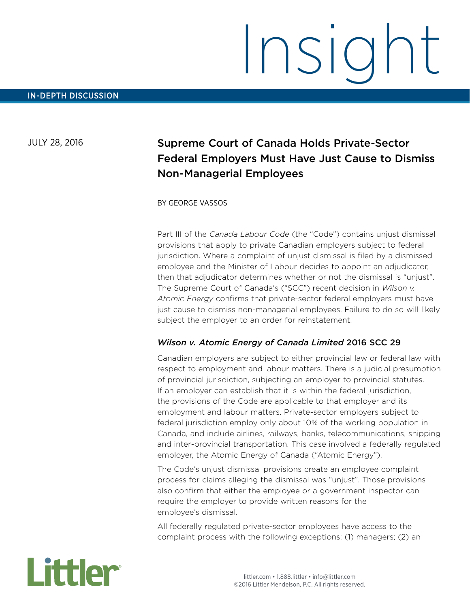# Insight

JULY 28, 2016

# Supreme Court of Canada Holds Private-Sector Federal Employers Must Have Just Cause to Dismiss Non-Managerial Employees

BY GEORGE VASSOS

Part III of the *Canada Labour Code* (the "Code") contains unjust dismissal provisions that apply to private Canadian employers subject to federal jurisdiction. Where a complaint of unjust dismissal is filed by a dismissed employee and the Minister of Labour decides to appoint an adjudicator, then that adjudicator determines whether or not the dismissal is "unjust". The Supreme Court of Canada's ("SCC") recent decision in *Wilson v. Atomic Energy* confirms that private-sector federal employers must have just cause to dismiss non-managerial employees. Failure to do so will likely subject the employer to an order for reinstatement.

## *Wilson v. Atomic Energy of Canada Limited* 2016 SCC 29

Canadian employers are subject to either provincial law or federal law with respect to employment and labour matters. There is a judicial presumption of provincial jurisdiction, subjecting an employer to provincial statutes. If an employer can establish that it is within the federal jurisdiction, the provisions of the Code are applicable to that employer and its employment and labour matters. Private-sector employers subject to federal jurisdiction employ only about 10% of the working population in Canada, and include airlines, railways, banks, telecommunications, shipping and inter-provincial transportation. This case involved a federally regulated employer, the Atomic Energy of Canada ("Atomic Energy").

The Code's unjust dismissal provisions create an employee complaint process for claims alleging the dismissal was "unjust". Those provisions also confirm that either the employee or a government inspector can require the employer to provide written reasons for the employee's dismissal.

All federally regulated private-sector employees have access to the complaint process with the following exceptions: (1) managers; (2) an

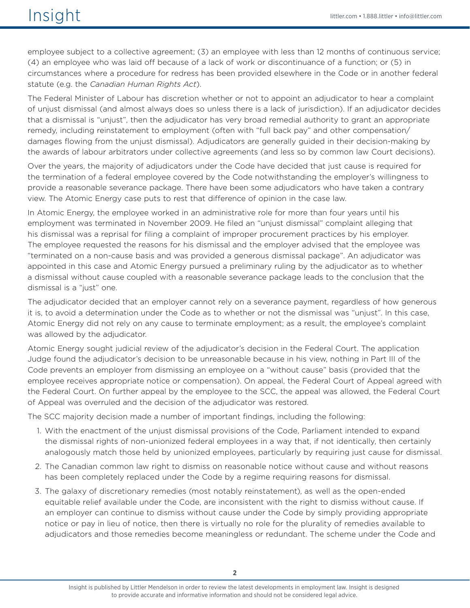employee subject to a collective agreement; (3) an employee with less than 12 months of continuous service; (4) an employee who was laid off because of a lack of work or discontinuance of a function; or (5) in circumstances where a procedure for redress has been provided elsewhere in the Code or in another federal statute (e.g. the *Canadian Human Rights Act*).

The Federal Minister of Labour has discretion whether or not to appoint an adjudicator to hear a complaint of unjust dismissal (and almost always does so unless there is a lack of jurisdiction). If an adjudicator decides that a dismissal is "unjust", then the adjudicator has very broad remedial authority to grant an appropriate remedy, including reinstatement to employment (often with "full back pay" and other compensation/ damages flowing from the unjust dismissal). Adjudicators are generally guided in their decision-making by the awards of labour arbitrators under collective agreements (and less so by common law Court decisions).

Over the years, the majority of adjudicators under the Code have decided that just cause is required for the termination of a federal employee covered by the Code notwithstanding the employer's willingness to provide a reasonable severance package. There have been some adjudicators who have taken a contrary view. The Atomic Energy case puts to rest that difference of opinion in the case law.

In Atomic Energy, the employee worked in an administrative role for more than four years until his employment was terminated in November 2009. He filed an "unjust dismissal" complaint alleging that his dismissal was a reprisal for filing a complaint of improper procurement practices by his employer. The employee requested the reasons for his dismissal and the employer advised that the employee was "terminated on a non-cause basis and was provided a generous dismissal package". An adjudicator was appointed in this case and Atomic Energy pursued a preliminary ruling by the adjudicator as to whether a dismissal without cause coupled with a reasonable severance package leads to the conclusion that the dismissal is a "just" one.

The adjudicator decided that an employer cannot rely on a severance payment, regardless of how generous it is, to avoid a determination under the Code as to whether or not the dismissal was "unjust". In this case, Atomic Energy did not rely on any cause to terminate employment; as a result, the employee's complaint was allowed by the adjudicator.

Atomic Energy sought judicial review of the adjudicator's decision in the Federal Court. The application Judge found the adjudicator's decision to be unreasonable because in his view, nothing in Part III of the Code prevents an employer from dismissing an employee on a "without cause" basis (provided that the employee receives appropriate notice or compensation). On appeal, the Federal Court of Appeal agreed with the Federal Court. On further appeal by the employee to the SCC, the appeal was allowed, the Federal Court of Appeal was overruled and the decision of the adjudicator was restored.

The SCC majority decision made a number of important findings, including the following:

- 1. With the enactment of the unjust dismissal provisions of the Code, Parliament intended to expand the dismissal rights of non-unionized federal employees in a way that, if not identically, then certainly analogously match those held by unionized employees, particularly by requiring just cause for dismissal.
- 2. The Canadian common law right to dismiss on reasonable notice without cause and without reasons has been completely replaced under the Code by a regime requiring reasons for dismissal.
- 3. The galaxy of discretionary remedies (most notably reinstatement), as well as the open-ended equitable relief available under the Code, are inconsistent with the right to dismiss without cause. If an employer can continue to dismiss without cause under the Code by simply providing appropriate notice or pay in lieu of notice, then there is virtually no role for the plurality of remedies available to adjudicators and those remedies become meaningless or redundant. The scheme under the Code and

Insight is published by Littler Mendelson in order to review the latest developments in employment law. Insight is designed to provide accurate and informative information and should not be considered legal advice.